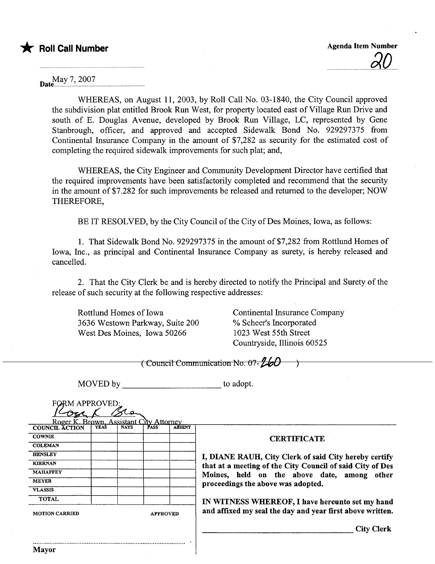May 7, 2007 Date.n....... .... ......... .n.. n. n..n .nnn...

Mayor

WHEREAS, on August 11,2003, by Roll Call No. 03-1840, the City Council approved the subdivision plat entitled Brook Run West, for property located east of Village Run Drive and south of E. Douglas Avenue, developed by Brook Run Village, LC, represented by Gene Stanbrough, officer, and approved and accepted Sidewalk Bond No. 929297375 from Continental Insurance Company in the amount of \$7,282 as securty for the estimated cost of completing the required sidewalk improvements for such plat; and,

WHEREAS, the City Engineer and Community Development Director have certified that the required improvements have been satisfactorily completed and recommend that the security in the amount of \$7.282 for such improvements be released and returned to the developer; NOW THEREFORE,

BE IT RESOLVED, by the City Council of the City of Des Moines, Iowa, as follows:

1. That Sidewalk Bond No. 929297375 in the amount of \$7,282 from Rottlund Homes of Iowa, Inc., as principal and Continental Insurance Company as surety, is hereby released and cancelled.

2. That the City Clerk be and is hereby directed to notify the Principal and Surety of the release of such security at the following respective addresses:

Rottlund Homes of Iowa 3636 Westown Parkway, Suite 200 West Des Moines, Iowa 50266

Continental Insurance Company % Scheer's Incorporated 1023 West 55th Street Countryside, Ilinois 60525

|                                          |             |             |               |               | (Council Communication No. 07-                            |  |  |  |
|------------------------------------------|-------------|-------------|---------------|---------------|-----------------------------------------------------------|--|--|--|
| MOVED by<br><b>FORM APPROVED:</b>        |             |             |               |               | to adopt.                                                 |  |  |  |
| Roger K. Brown, Assistant                |             |             | lity Attorney |               |                                                           |  |  |  |
| <b>COUNCIL ACTION</b>                    | <b>YEAS</b> | <b>NAYS</b> | PASS          | <b>ARSENT</b> |                                                           |  |  |  |
| <b>COWNIE</b>                            |             |             |               |               | <b>CERTIFICATE</b>                                        |  |  |  |
| <b>COLEMAN</b>                           |             |             |               |               |                                                           |  |  |  |
| <b>HENSLEY</b>                           |             |             |               |               | I, DIANE RAUH, City Clerk of said City hereby certify     |  |  |  |
| <b>KIERNAN</b>                           |             |             |               |               |                                                           |  |  |  |
| <b>MAHAFFEY</b>                          |             |             |               |               | that at a meeting of the City Council of said City of Des |  |  |  |
| <b>MEYER</b>                             |             |             |               |               | Moines, held on the above date, among other               |  |  |  |
| <b>VLASSIS</b>                           |             |             |               |               | proceedings the above was adopted.                        |  |  |  |
| <b>TOTAL</b>                             |             |             |               |               |                                                           |  |  |  |
|                                          |             |             |               |               | IN WITNESS WHEREOF, I have hereunto set my hand           |  |  |  |
| <b>MOTION CARRIED</b><br><b>APPROVED</b> |             |             |               |               | and affixed my seal the day and year first above written. |  |  |  |
|                                          |             |             |               |               | <b>City Clerk</b>                                         |  |  |  |
|                                          |             |             |               |               |                                                           |  |  |  |
|                                          |             |             |               |               |                                                           |  |  |  |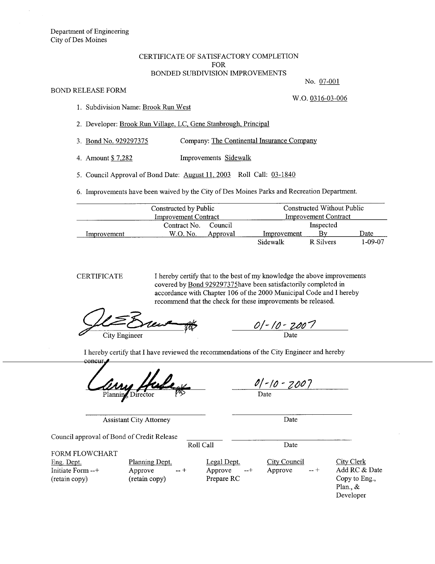## CERTIFICATE OF SATISFACTORY COMPLETION FOR BONDED SUBDIVISION IMPROVEMENTS

## BOND RELEASE FORM

No. 07-001

1. Subdivision Name: Brook Run West

2. Developer: Brook Run Vilage, LC, Gene Stanbrough, Principal

3. Bond No. 929297375 Company: The Continental Insurance Company

4. Amount \$ 7,282 Improvements Sidewalk

5. Council Approval of Bond Date: August 11, 2003 Roll Call: 03-1840

6. Improvements have been waived by the City of Des Moines Parks and Recreation Department.

|             | Constructed by Public       |          | Constructed Without Public<br><b>Improvement Contract</b> |           |         |
|-------------|-----------------------------|----------|-----------------------------------------------------------|-----------|---------|
|             | <b>Improvement Contract</b> |          |                                                           |           |         |
|             | Contract No.                | Council  | Inspected                                                 |           |         |
| Improvement | W.O. No.                    | Approval | Improvement                                               | Bv        | Date    |
|             |                             |          | Sidewalk                                                  | R Silvers | 1-09-07 |

CERTIFICATE I hereby certify that to the best of my knowledge the above improvements covered by Bond 929297375have been satisfactorily completed in accordance with Chapter 106 of the 2000 Municipal Code and I hereby recommend that the check for these improvements be released.

 $\frac{\sqrt{2}}{\frac{C}{C}}$  $\frac{O(-10-2007)}{200}$ 

I hereby certify that I have reviewed the recommendations of the City Engineer and hereby concui

Planning Director

<u>10 - 700 |</u>

Date

Assistant City Attorney Date

Council approval of Bond of Credit Release

FORM FLOWCHART

Eng. Dept. Initiate Form --+ (retain copy)

Planning Dept. Approve --+ (retain copy)

Legal Dept. Approve --+ Prepare RC

Roll Call Date

**City Council** Approve

City Clerk Add RC & Date Copy to Eng., Plan., & Developer

W.O. 0316-03-006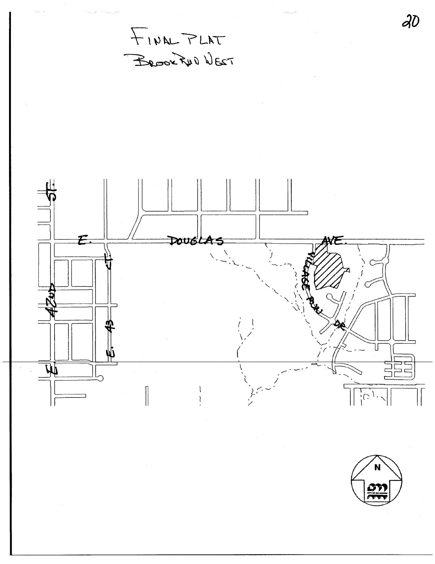$\partial v$ FINAL PLAT BROOKFUD WEST  $\equiv$  $\mathcal{F}$ DOUGLA  $\overline{\mu}$  $\frac{1}{2}C$